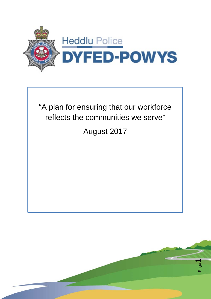



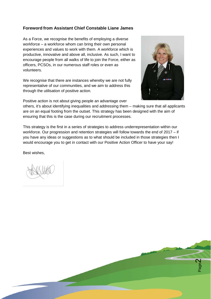#### **Foreword from Assistant Chief Constable Liane James**

As a Force, we recognise the benefits of employing a diverse workforce – a workforce whom can bring their own personal experiences and values to work with them. A workforce which is productive, innovative and above all, inclusive. As such, I want to encourage people from all walks of life to join the Force, either as officers, PCSOs, in our numerous staff roles or even as volunteers.

We recognise that there are instances whereby we are not fully representative of our communities, and we aim to address this through the utilisation of positive action.

Positive action is not about giving people an advantage over

others, it's about identifying inequalities and addressing them – making sure that all applicants are on an equal footing from the outset. This strategy has been designed with the aim of ensuring that this is the case during our recruitment processes.

This strategy is the first in a series of strategies to address underrepresentation within our workforce. Our progression and retention strategies will follow towards the end of 2017 – if you have any ideas or suggestions as to what should be included in those strategies then I would encourage you to get in contact with our Positive Action Officer to have your say!

Best wishes,



Page  $\sim$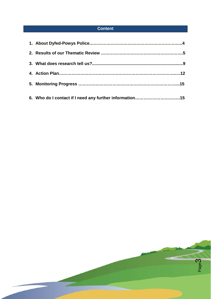# **Content**

| 6. Who do I contact if I need any further information15 |  |
|---------------------------------------------------------|--|

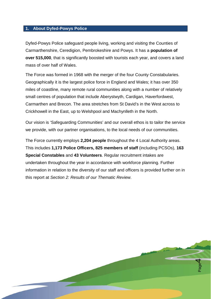#### **1. About Dyfed-Powys Police**

Dyfed-Powys Police safeguard people living, working and visiting the Counties of Carmarthenshire, Ceredigion, Pembrokeshire and Powys. It has a **population of over 515,000**, that is significantly boosted with tourists each year, and covers a land mass of over half of Wales.

The Force was formed in 1968 with the merger of the four County Constabularies. Geographically it is the largest police force in England and Wales; it has over 350 miles of coastline, many remote rural communities along with a number of relatively small centres of population that include Aberystwyth, Cardigan, Haverfordwest, Carmarthen and Brecon. The area stretches from St David's in the West across to Crickhowell in the East, up to Welshpool and Machynlleth in the North.

Our vision is 'Safeguarding Communities' and our overall ethos is to tailor the service we provide, with our partner organisations, to the local needs of our communities.

The Force currently employs **2,204 people** throughout the 4 Local Authority areas. This includes **1,173 Police Officers, 825 members of staff** (including PCSOs), **163 Special Constables** and **43 Volunteers**. Regular recruitment intakes are undertaken throughout the year in accordance with workforce planning. Further information in relation to the diversity of our staff and officers is provided further on in this report at *Section 2: Results of our Thematic Review.*

> Page 4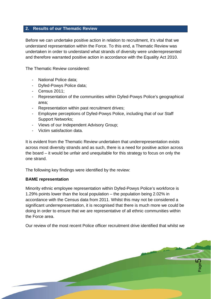### **2. Results of our Thematic Review**

Before we can undertake positive action in relation to recruitment, it's vital that we understand representation within the Force. To this end, a Thematic Review was undertaken in order to understand what strands of diversity were underrepresented and therefore warranted positive action in accordance with the Equality Act 2010.

The Thematic Review considered:

- National Police data:
- Dyfed-Powys Police data;
- Census 2011;
- Representation of the communities within Dyfed-Powys Police's geographical area;
- Representation within past recruitment drives;
- Employee perceptions of Dyfed-Powys Police, including that of our Staff Support Networks;
- Views of our Independent Advisory Group;
- Victim satisfaction data.

It is evident from the Thematic Review undertaken that underrepresentation exists across most diversity strands and as such, there is a need for positive action across the board – it would be unfair and unequitable for this strategy to focus on only the one strand.

The following key findings were identified by the review:

#### **BAME representation**

Minority ethnic employee representation within Dyfed-Powys Police's workforce is 1.29% points lower than the local population – the population being 2.02% in accordance with the Census data from 2011. Whilst this may not be considered a significant underrepresentation, it is recognised that there is much more we could be doing in order to ensure that we are representative of all ethnic communities within the Force area.

Our review of the most recent Police officer recruitment drive identified that whilst we

Page 5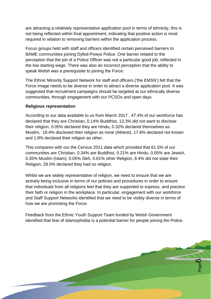are attracting a relatively representative application pool in terms of ethnicity, this is not being reflected within final appointment, indicating that positive action is most required in relation to removing barriers within the application process.

Focus groups held with staff and officers identified certain perceived barriers to BAME communities joining Dyfed-Powys Police. One barrier related to the perception that the job of a Police Officer was not a particular good job, reflected in the low starting wage. There was also an incorrect perception that the ability to speak Welsh was a prerequisite to joining the Force.

The Ethnic Minority Support Network for staff and officers ('the EMSN') felt that the Force image needs to be diverse in order to attract a diverse application pool. It was suggested that recruitment campaigns should be targeted at our ethnically diverse communities, through engagement with our PCSOs and open days.

#### **Religious representation**

According to our data available to us from March 2017 , 47.4% of our workforce has declared that they are Christian, 0.14% Buddhist, 13.3% did not want to disclose their religion, 0.05% declared they are Hindu, 0.32% declared themselves as Muslim, 19.4% disclosed their religion as none (Atheist), 17.6% declared not known and 1.8% declared their religion as other.

This compares with our the Census 2011 data which provided that 61.5% of our communities are Christian, 0.34% are Buddhist, 0.21% are Hindu, 0.05% are Jewish, 0.35% Muslim (Islam), 0.05% Sikh, 0.61% other Religion, 8.4% did not state their Religion, 28.5% declared they had no religion.

Whilst we are widely representative of religion, we need to ensure that we are actively being inclusive in terms of our policies and procedures in order to ensure that individuals from all religions feel that they are supported to express, and practice their faith or religion in the workplace. In particular, engagement with our workforce and Staff Support Networks identified that we need to be visibly diverse in terms of how we are promoting the Force.

Feedback from the Ethnic Youth Support Team funded by Welsh Government identified that fear of islamophobia is a potential barrier for people joining the Police.

> Page  $\mathbf{\Omega}$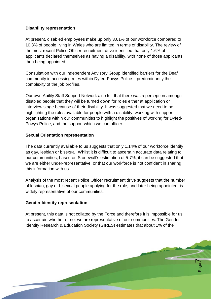## **Disability representation**

At present, disabled employees make up only 3.61% of our workforce compared to 10.8% of people living in Wales who are limited in terms of disability. The review of the most recent Police Officer recruitment drive identified that only 1.6% of applicants declared themselves as having a disability, with none of those applicants then being appointed.

Consultation with our Independent Advisory Group identified barriers for the Deaf community in accessing roles within Dyfed-Powys Police – predominantly the complexity of the job profiles.

Our own Ability Staff Support Network also felt that there was a perception amongst disabled people that they will be turned down for roles either at application or interview stage because of their disability. It was suggested that we need to be highlighting the roles available for people with a disability, working with support organisations within our communities to highlight the positives of working for Dyfed-Powys Police, and the support which we can officer.

#### **Sexual Orientation representation**

The data currently available to us suggests that only 1.14% of our workforce identify as gay, lesbian or bisexual. Whilst it is difficult to ascertain accurate data relating to our communities, based on Stonewall's estimation of 5-7%, it can be suggested that we are either under-representative, or that our workforce is not confident in sharing this information with us.

Analysis of the most recent Police Officer recruitment drive suggests that the number of lesbian, gay or bisexual people applying for the role, and later being appointed, is widely representative of our communities.

#### **Gender Identity representation**

At present, this data is not collated by the Force and therefore it is impossible for us to ascertain whether or not we are representative of our communities. The Gender Identity Research & Education Society (GIRES) estimates that about 1% of the

> Page  $\blacktriangleright$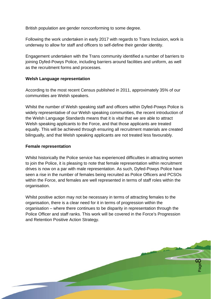British population are gender nonconforming to some degree.

Following the work undertaken in early 2017 with regards to Trans Inclusion, work is underway to allow for staff and officers to self-define their gender identity.

Engagement undertaken with the Trans community identified a number of barriers to joining Dyfed-Powys Police, including barriers around facilities and uniform, as well as the recruitment forms and processes.

#### **Welsh Language representation**

According to the most recent Census published in 2011, approximately 35% of our communities are Welsh speakers.

Whilst the number of Welsh speaking staff and officers within Dyfed-Powys Police is widely representative of our Welsh speaking communities, the recent introduction of the Welsh Language Standards means that it is vital that we are able to attract Welsh speaking applicants to the Force, and that those applicants are treated equally. This will be achieved through ensuring all recruitment materials are created bilingually, and that Welsh speaking applicants are not treated less favourably.

#### **Female representation**

Whilst historically the Police service has experienced difficulties in attracting women to join the Police, it is pleasing to note that female representation within recruitment drives is now on a par with male representation. As such, Dyfed-Powys Police have seen a rise in the number of females being recruited as Police Officers and PCSOs within the Force, and females are well represented in terms of staff roles within the organisation.

Whilst positive action may not be necessary in terms of attracting females to the organisation, there is a clear need for it in terms of progression within the organisation – where there continues to be disparity in representation through the Police Officer and staff ranks. This work will be covered in the Force's Progression and Retention Positive Action Strategy.

> Page  $\infty$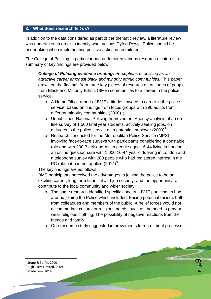## **3. What does research tell us?**

In addition to the data considered as part of the thematic review, a literature review was undertaken in order to identify what actions Dyfed-Powys Police should be undertaking when implementing positive action in recruitment.

The College of Policing in particular had undertaken various research of interest, a summary of key findings are provided below:

- **College of Policing evidence briefing:** Perceptions of policing as an *attractive career amongst black and minority ethnic communities.* This paper draws on the findings from three key pieces of research on attitudes of people from Black and Minority Ethnic (BME) communities to a career in the police service.
	- o A Home Office report of BME attitudes towards a career in the police service, based on findings from focus groups with 290 adults from different minority communities  $(2000)^1$  $(2000)^1$ ;
	- o Unpublished National Policing Improvement Agency analysis of an online survey of 1,500 final year students, actively seeking jobs, on attitudes to the police service as a potential employer ([2](#page-8-1)009)<sup>2</sup>;
	- o Research conducted for the Metropolitan Police Service (MPS) involving face-to-face surveys with participants considering a constable role and with 200 Black and Asian people aged 16-44 living in London; an online questionnaire with 1,000 16-44 year olds living in London and a telephone survey with 200 people who had registered interest in the PC role but had not applied  $(2014)^3$  $(2014)^3$ .

The key findings are as follows.

- BME participants perceived the advantages to joining the police to be an exciting career, long term financial and job security, and the opportunity to contribute to the local community and wider society;
	- o The same research identified specific concerns BME participants had around joining the Police which included; Facing potential racism, both from colleagues and members of the public; A belief forces would not accommodate cultural or religious needs, such as the need to pray or wear religious clothing; The possibility of negative reactions from their friends and family;
	- o One research study suggested improvements to recruitment processes

Page  $\mathbf{\Omega}$ 

Stone & Tuffin, 2000

<span id="page-8-2"></span> $3$  Mediacom, 2014

<span id="page-8-1"></span><span id="page-8-0"></span><sup>2</sup> High Fliers Limited, 2009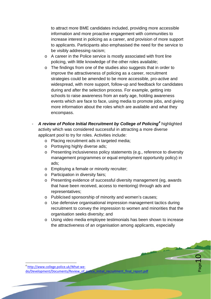to attract more BME candidates included, providing more accessible information and more proactive engagement with communities to increase interest in policing as a career, and provision of more support to applicants. Participants also emphasised the need for the service to be visibly addressing racism;

- o A career in the Police service is mostly associated with front line policing, with little knowledge of the other roles available;
- o The findings from one of the studies also suggests that in order to improve the attractiveness of policing as a career, recruitment strategies could be amended to be more accessible, pro-active and widespread, with more support, follow-up and feedback for candidates during and after the selection process. For example, getting into schools to raise awareness from an early age, holding awareness events which are face to face, using media to promote jobs, and giving more information about the roles which are available and what they encompass.
- *A review of Police Initial Recruitment by College of Policing[4](#page-9-0)* highlighted activity which was considered successful in attracting a more diverse applicant pool to try for roles. Activities include:
	- o Placing recruitment ads in targeted media;
	- o Portraying highly diverse ads;
	- o Presenting inclusiveness policy statements (e.g., reference to diversity management programmes or equal employment opportunity policy) in ads;
	- o Employing a female or minority recruiter;
	- o Participation in diversity fairs;
	- o Presenting evidence of successful diversity management (eg, awards that have been received, access to mentoring) through ads and representatives;
	- o Publicised sponsorship of minority and women's causes;
	- o Use defensive organisational impression management tactics during recruitment to convey the impression to women and minorities that the organisation seeks diversity; and
	- o Using video media employee testimonials has been shown to increase the attractiveness of an organisation among applicants, especially

Page  $10$ 

<span id="page-9-0"></span> 4 [http://www.college.police.uk/What-we](http://www.college.police.uk/What-we-do/Development/Documents/Review_of_police_initial_recruitment_final_report.pdf)[do/Development/Documents/Review\\_of\\_police\\_initial\\_recruitment\\_final\\_report.pdf](http://www.college.police.uk/What-we-do/Development/Documents/Review_of_police_initial_recruitment_final_report.pdf)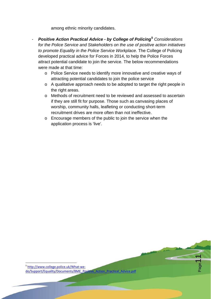among ethnic minority candidates.

- *Positive Action Practical Advice - by College of Policing***[5](#page-10-0)** *Considerations for the Police Service and Stakeholders on the use of positive action initiatives to promote Equality in the Police Service Workplace.* The College of Policing developed practical advice for Forces in 2014, to help the Police Forces attract potential candidate to join the service. The below recommendations were made at that time:
	- o Police Service needs to identify more innovative and creative ways of attracting potential candidates to join the police service
	- o A qualitative approach needs to be adopted to target the right people in the right areas.
	- o Methods of recruitment need to be reviewed and assessed to ascertain if they are still fit for purpose. Those such as canvasing places of worship, community halls, leafleting or conducting short-term recruitment drives are more often than not ineffective.

Page11

o Encourage members of the public to join the service when the application process is 'live'.

<span id="page-10-0"></span>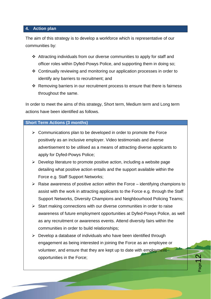#### **4. Action plan**

The aim of this strategy is to develop a workforce which is representative of our communities by:

- Attracting individuals from our diverse communities to apply for staff and officer roles within Dyfed-Powys Police, and supporting them in doing so;
- Continually reviewing and monitoring our application processes in order to identify any barriers to recruitment; and
- $\triangle$  Removing barriers in our recruitment process to ensure that there is fairness throughout the same.

In order to meet the aims of this strategy, Short term, Medium term and Long term actions have been identified as follows.

#### **Short Term Actions (3 months)**

- $\triangleright$  Communications plan to be developed in order to promote the Force positively as an inclusive employer. Video testimonials and diverse advertisement to be utilised as a means of attracting diverse applicants to apply for Dyfed-Powys Police;
- $\triangleright$  Develop literature to promote positive action, including a website page detailing what positive action entails and the support available within the Force e.g. Staff Support Networks;
- $\triangleright$  Raise awareness of positive action within the Force identifying champions to assist with the work in attracting applicants to the Force e.g. through the Staff Support Networks, Diversity Champions and Neighbourhood Policing Teams;
- $\triangleright$  Start making connections with our diverse communities in order to raise awareness of future employment opportunities at Dyfed-Powys Police, as well as any recruitment or awareness events. Attend diversity fairs within the communities in order to build relationships;
- $\triangleright$  Develop a database of individuals who have been identified through engagement as being interested in joining the Force as an employee or volunteer, and ensure that they are kept up to date with employment opportunities in the Force;

 $\overline{\mathsf{N}}$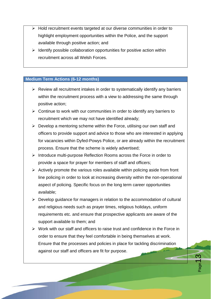- $\triangleright$  Hold recruitment events targeted at our diverse communities in order to highlight employment opportunities within the Police, and the support available through positive action; and
- $\triangleright$  Identify possible collaboration opportunities for positive action within recruitment across all Welsh Forces.

#### **Medium Term Actions (6-12 months)**

- $\triangleright$  Review all recruitment intakes in order to systematically identify any barriers within the recruitment process with a view to addressing the same through positive action;
- $\triangleright$  Continue to work with our communities in order to identify any barriers to recruitment which we may not have identified already;
- $\triangleright$  Develop a mentoring scheme within the Force, utilising our own staff and officers to provide support and advice to those who are interested in applying for vacancies within Dyfed-Powys Police, or are already within the recruitment process. Ensure that the scheme is widely advertised;
- $\triangleright$  Introduce multi-purpose Reflection Rooms across the Force in order to provide a space for prayer for members of staff and officers;
- $\triangleright$  Actively promote the various roles available within policing aside from front line policing in order to look at increasing diversity within the non-operational aspect of policing. Specific focus on the long term career opportunities available;
- $\triangleright$  Develop guidance for managers in relation to the accommodation of cultural and religious needs such as prayer times, religious holidays, uniform requirements etc. and ensure that prospective applicants are aware of the support available to them; and
- $\triangleright$  Work with our staff and officers to raise trust and confidence in the Force in order to ensure that they feel comfortable in being themselves at work. Ensure that the processes and policies in place for tackling discrimination against our staff and officers are fit for purpose.

က္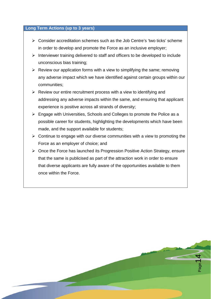#### **Long Term Actions (up to 3 years)**

- $\triangleright$  Consider accreditation schemes such as the Job Centre's 'two ticks' scheme in order to develop and promote the Force as an inclusive employer;
- $\triangleright$  Interviewer training delivered to staff and officers to be developed to include unconscious bias training;
- $\triangleright$  Review our application forms with a view to simplifying the same; removing any adverse impact which we have identified against certain groups within our communities;
- $\triangleright$  Review our entire recruitment process with a view to identifying and addressing any adverse impacts within the same, and ensuring that applicant experience is positive across all strands of diversity;
- $\triangleright$  Engage with Universities, Schools and Colleges to promote the Police as a possible career for students, highlighting the developments which have been made, and the support available for students;
- $\triangleright$  Continue to engage with our diverse communities with a view to promoting the Force as an employer of choice; and
- $\triangleright$  Once the Force has launched its Progression Positive Action Strategy, ensure that the same is publicised as part of the attraction work in order to ensure that diverse applicants are fully aware of the opportunities available to them once within the Force.

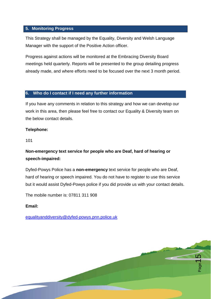### **5. Monitoring Progress**

This Strategy shall be managed by the Equality, Diversity and Welsh Language Manager with the support of the Positive Action officer.

Progress against actions will be monitored at the Embracing Diversity Board meetings held quarterly. Reports will be presented to the group detailing progress already made, and where efforts need to be focused over the next 3 month period.

#### **6. Who do I contact if I need any further information**

If you have any comments in relation to this strategy and how we can develop our work in this area, then please feel free to contact our Equality & Diversity team on the below contact details.

#### **Telephone:**

101

# **Non-emergency text service for people who are Deaf, hard of hearing or speech-impaired:**

Dyfed-Powys Police has a **non-emergency** text service for people who are Deaf, hard of hearing or speech impaired. You do not have to register to use this service but it would assist Dyfed-Powys police if you did provide us with your contact details.

 $\overline{5}$ 

The mobile number is: 07811 311 908

#### **Email:**

[equalityanddiversity@dyfed-powys.pnn.police.uk](mailto:equalityanddiversity@dyfed-powys.pnn.police.uk)